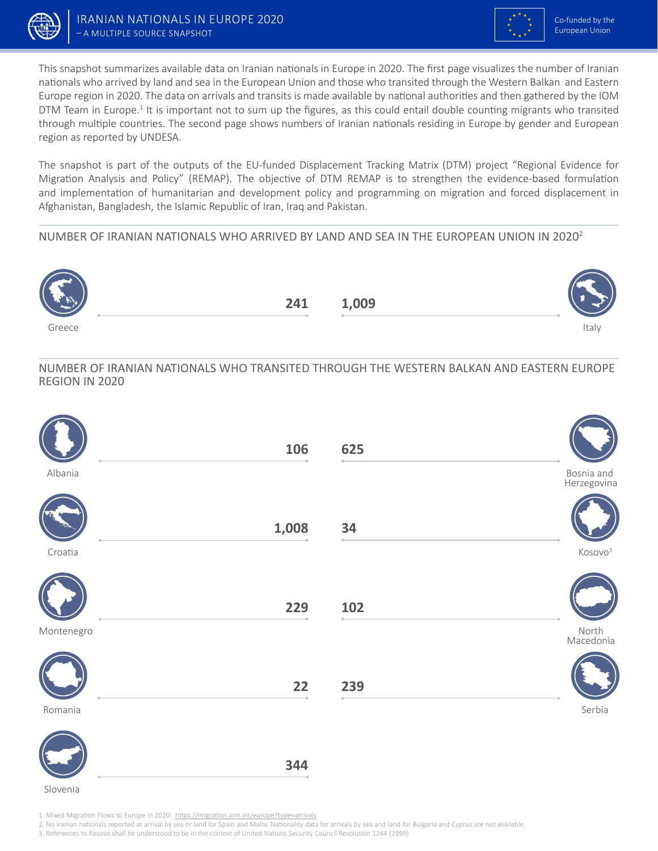



This snapshot summarizes available data on Iranian nationals in Europe in 2020. The first page visualizes the number of Iranian nationals who arrived by land and sea in the European Union and those who transited through the Western Balkan and Eastern Europe region in 2020. The data on arrivals and transits is made available by national authorities and then gathered by the IOM DTM Team in Europe.<sup>1</sup> It is important not to sum up the figures, as this could entail double counting migrants who transited through multiple countries. The second page shows numbers of Iranian nationals residing in Europe by gender and European region as reported by UNDESA.

The snapshot is part of the outputs of the EU-funded Displacement Tracking Matrix (DTM) project "Regional Evidence for Migration Analysis and Policy" (REMAP). The objective of DTM REMAP is to strengthen the evidence-based formulation and implementation of humanitarian and development policy and programming on migration and forced displacement in Afghanistan, Bangladesh, the Islamic Republic of Iran, Iraq and Pakistan.

## NUMBER OF IRANIAN NATIONALS WHO ARRIVED BY LAND AND SEA IN THE EUROPEAN UNION IN 20202



NUMBER OF IRANIAN NATIONALS WHO TRANSITED THROUGH THE WESTERN BALKAN AND EASTERN EUROPE REGION IN 2020

|            | 106   | 625 |                           |
|------------|-------|-----|---------------------------|
| Albania    |       |     | Bosnia and<br>Herzegovina |
|            | 1,008 | 34  |                           |
| Croatia    |       |     | Kosovo <sup>3</sup>       |
|            | 229   | 102 |                           |
| Montenegro |       |     | North<br>Macedonia        |
|            | 22    | 239 |                           |
| Romania    |       |     | Serbia                    |
|            | 344   |     |                           |

Slovenia

1. Mixed Migration Flows to Europe in 2020: https://migration.iom.int/europe?type=arrivals

2. No Iranian nationals reported at arrival by sea or land for Spain and Malta. Nationality data for arrivals by sea and land for Bulgaria and Cyprus are not available.

3. References to Kosovo shall be understood to be in the context of United Nations Security Council Resolution 1244 (1999)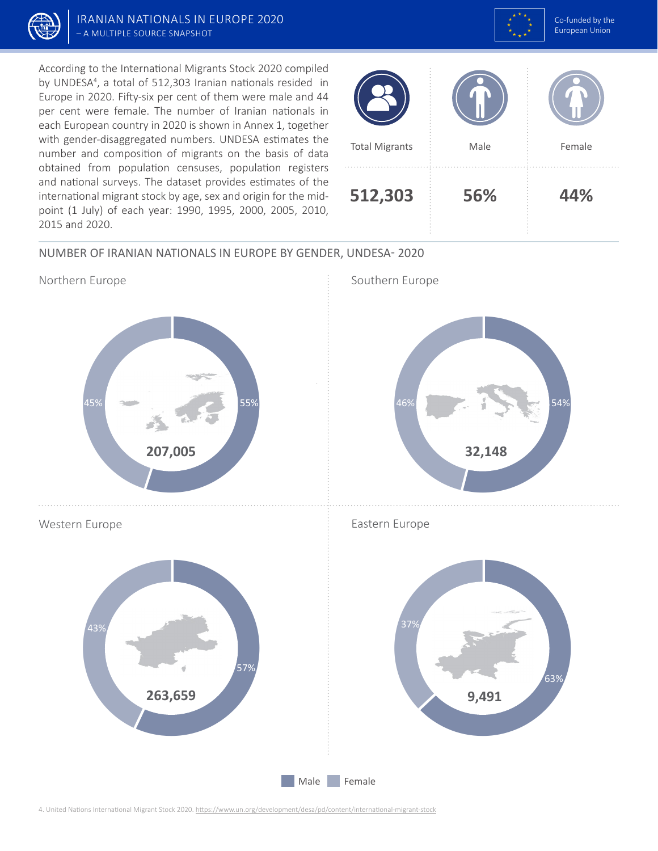



According to the International Migrants Stock 2020 compiled by UNDESA<sup>4</sup>, a total of 512,303 Iranian nationals resided in Europe in 2020. Fifty-six per cent of them were male and 44 per cent were female. The number of Iranian nationals in each European country in 2020 is shown in Annex 1, together with gender-disaggregated numbers. UNDESA estimates the number and composition of migrants on the basis of data obtained from population censuses, population registers and national surveys. The dataset provides estimates of the international migrant stock by age, sex and origin for the midpoint (1 July) of each year: 1990, 1995, 2000, 2005, 2010, 2015 and 2020.



## NUMBER OF IRANIAN NATIONALS IN EUROPE BY GENDER, UNDESA- 2020



4. United Nations International Migrant Stock 2020. https://www.un.org/development/desa/pd/content/international-migrant-stock